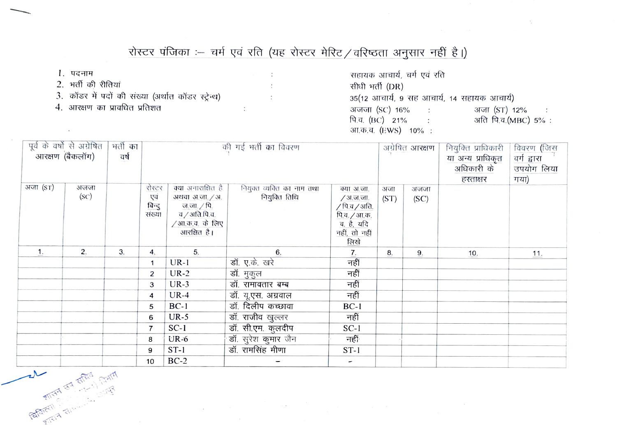## रोस्टर पंजिका :- चर्म एवं रति (यह रोस्टर मेरिट / वरिष्ठता अनुसार नहीं है।)

 $\ddot{\cdot}$ 

- 1. पदनाम
- 2. भर्ती की रीतियां
- 3. कॉडर में पदों की संख्या (अर्थात कॉडर स्ट्रेन्ध)
- 4. आरक्षण का प्रावधित प्रतिशत

सहायक आचार्य, चर्म एवं रति सीधी भर्ती (DR) 35(12 आचार्य, 9 सह आचार्य, 14 सहायक आचार्य) अजजा (SC) 16% : अजा (ST) 12%  $\therefore$ पि.व. (BC) 21% : अति पि.व.(MBC) 5%: आ.क.व. (EWS) 10% :

| पूर्व के वर्षों से अग्रेषित<br>भर्ती का<br>.<br>आरक्षण <i>(</i> बैकलॉग)<br>वर्ष |                                 | की गई भर्ती का विवरण |                                   |                                                                                                      |                                               |                                                                                                 | अग्रेषित <b>आरक्षण</b> | नियुक्ति प्राधिकारी<br>या अन्य प्राधिकृत<br>अधिकारी के<br>हरताक्षर | विवरण (जिस<br>वर्ग द्वारा<br>उपयोग लिया<br>गया) |     |
|---------------------------------------------------------------------------------|---------------------------------|----------------------|-----------------------------------|------------------------------------------------------------------------------------------------------|-----------------------------------------------|-------------------------------------------------------------------------------------------------|------------------------|--------------------------------------------------------------------|-------------------------------------------------|-----|
| अजा (ST)                                                                        | अजजा<br>(SC)                    |                      | रोस्टर<br>एवं<br>बिन्दु<br>संख्या | क्या अनाराक्षित है<br>अथवा अ.जा. / अ.<br>ज.जा.∠पि.<br>व / अति.पि.व.<br>/आ.क.व. के लिए<br>आरक्षित है। | नियुक्त व्यक्ति का नाम तथा<br>- नियुक्ति तिथि | क्या अ.जा.<br>∕ अ.ज.जा.<br>/ पि.व / अति.<br>पि.व. / आ.क.<br>व. है, यदि<br>नहीं, तो नहीं<br>लिखे | अजा<br>(ST)            | अजजा<br>(SC)                                                       |                                                 |     |
| $\mathbf{1}$ .                                                                  | 2.                              | 3.                   | 4.                                | 5.                                                                                                   | 6.                                            | 7.                                                                                              | 8.                     | 9.                                                                 | 10.                                             | 11. |
|                                                                                 |                                 |                      | $\mathbf{1}$                      | $UR-1$                                                                                               | डॉ. ए.के. खरे                                 | नहीं                                                                                            |                        |                                                                    |                                                 |     |
|                                                                                 |                                 |                      | $\overline{c}$                    | $UR-2$                                                                                               | डॉ. मुकुल                                     | नहीं                                                                                            |                        |                                                                    |                                                 |     |
|                                                                                 |                                 |                      | 3                                 | $UR-3$                                                                                               | डॉ. रामावतार बम्ब                             | नहीं                                                                                            |                        |                                                                    |                                                 |     |
|                                                                                 |                                 |                      | 4                                 | $UR-4$                                                                                               | डॉ. यू.एस. अग्रवाल                            | नहीं                                                                                            |                        |                                                                    |                                                 |     |
|                                                                                 |                                 |                      | 5                                 | $BC-1$                                                                                               | डॉ. दिलीप कच्छावा                             | $BC-1$                                                                                          |                        |                                                                    |                                                 |     |
|                                                                                 |                                 |                      | 6                                 | $UR-5$                                                                                               | डॉ. राजीव खुल्लर                              | नहीं                                                                                            |                        |                                                                    |                                                 |     |
|                                                                                 |                                 |                      | $\overline{7}$                    | $SC-1$                                                                                               | डॉ. सी.एम. कुलदीप                             | $SC-1$                                                                                          |                        |                                                                    |                                                 |     |
|                                                                                 |                                 |                      | 8                                 | $UR-6$                                                                                               | डॉ. सुरेश कुमार जैन                           | नहीं                                                                                            |                        |                                                                    |                                                 |     |
|                                                                                 |                                 |                      | 9                                 | $ST-1$                                                                                               | डॉ. रामसिंह मीणा                              | $ST-1$                                                                                          |                        |                                                                    |                                                 |     |
|                                                                                 |                                 |                      | 10                                | $BC-2$                                                                                               | -                                             | $\overline{\phantom{a}}$                                                                        |                        |                                                                    |                                                 |     |
|                                                                                 | <b>CALIFORNIA STATES STATES</b> |                      |                                   |                                                                                                      |                                               |                                                                                                 |                        |                                                                    |                                                 |     |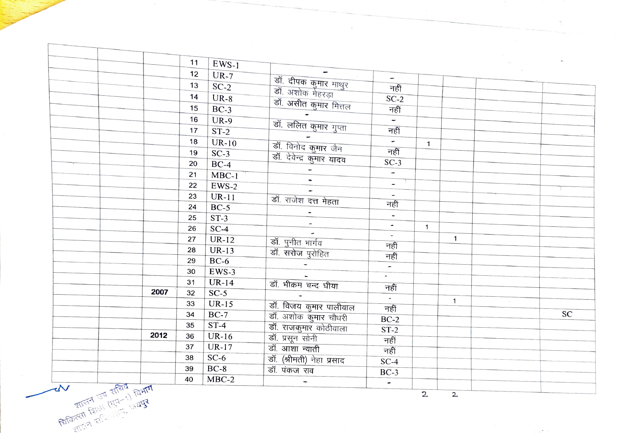**RATT** FRIGHT 1979  $\frac{1}{(1+1)^{d-1}}$   $\frac{1}{(1+1)^d}$ 

 $\mathbf{r}$ 

 $2^2$ 

 $\sim$ 

|                             |          | 11 | $EWS-1$ |                                                                   |                                        |              |              |  |    |
|-----------------------------|----------|----|---------|-------------------------------------------------------------------|----------------------------------------|--------------|--------------|--|----|
|                             |          | 12 | $UR-7$  |                                                                   |                                        |              |              |  |    |
|                             |          | 13 | $SC-2$  |                                                                   | $-$<br>नहीं                            |              |              |  |    |
|                             |          | 14 | $UR-8$  |                                                                   | $SC-2$                                 |              |              |  |    |
|                             |          | 15 | $BC-3$  | डॉ. दीपक कुमार माथुर<br>डॉ. अशोक मेहरड़ा<br>डॉ. असीत कुमार मित्तल | नहीं                                   |              |              |  |    |
|                             |          | 16 |         |                                                                   | Ξ                                      |              |              |  |    |
|                             |          |    | $UR-9$  | डॉ. ललित कुमार गुप्ता                                             | नहीं                                   |              |              |  |    |
|                             |          | 17 | $ST-2$  |                                                                   |                                        |              |              |  |    |
|                             |          | 18 | $UR-10$ | डॉ. विनोद कुमार जैन                                               | $\overline{\phantom{a}}$               | $\mathbf{1}$ |              |  |    |
|                             |          | 19 | $SC-3$  | ---<br>डॉ. देवेन्द्र कुमार यादव                                   | नहीं                                   |              |              |  |    |
|                             |          | 20 | $BC-4$  |                                                                   | $SC-3$                                 |              |              |  |    |
|                             |          | 21 | $MBC-1$ |                                                                   | $\overline{\phantom{a}}$               |              |              |  |    |
|                             |          | 22 | $EWS-2$ |                                                                   | $\overline{\phantom{a}}$               |              |              |  |    |
|                             |          | 23 | $UR-11$ | डॉ. राजेश दत्त मेहता                                              | $\overline{\phantom{a}}$               |              |              |  |    |
|                             |          | 24 | $BC-5$  |                                                                   | नहीं                                   |              |              |  |    |
|                             |          | 25 | $ST-3$  |                                                                   | $\overline{\phantom{a}}$               |              |              |  |    |
|                             |          | 26 | $SC-4$  | $\overline{\phantom{a}}$                                          | $\blacksquare$                         | $\mathbf{1}$ |              |  |    |
|                             |          | 27 | $UR-12$ | डॉ. पुनीत भार्गव                                                  | $\sim$                                 |              | $\mathbf{1}$ |  |    |
|                             |          | 28 | $UR-13$ | डॉ. सरोज पुरोहित                                                  | नहीं                                   |              |              |  |    |
|                             |          | 29 | $BC-6$  |                                                                   | नहीं                                   |              |              |  |    |
|                             |          | 30 | $EWS-3$ |                                                                   | $\overline{\phantom{a}}$               |              |              |  |    |
|                             |          | 31 | $UR-14$ | डॉ. भीक्रम चन्द घीया                                              | $\overline{\phantom{a}}$               |              |              |  |    |
|                             | 2007     | 32 | $SC-5$  |                                                                   | नहीं                                   |              |              |  |    |
|                             |          | 33 | $UR-15$ |                                                                   | $\overline{\mathcal{L}_{\mathcal{A}}}$ |              | $\mathbf{1}$ |  |    |
|                             |          | 34 | $BC-7$  | डॉ. विजय कुमार पालीवाल<br>डॉ. अशोक कुमार चौधरी                    | नहीं                                   |              |              |  | SC |
|                             |          | 35 | $ST-4$  |                                                                   | $BC-2$                                 |              |              |  |    |
|                             | 2012     | 36 | $UR-16$ | डॉ. राजकुमार कोठीवाला                                             | $ST-2$                                 |              |              |  |    |
|                             |          | 37 | $UR-17$ | <u>डॉ. प्रसून सोनी</u><br>डॉ. आशा न्याती                          | नहीं                                   |              |              |  |    |
|                             |          | 38 | $SC-6$  |                                                                   | नहीं                                   |              |              |  |    |
|                             |          |    | $BC-8$  | डॉ. (श्रीमती) नेहा प्रसाद                                         | $SC-4$                                 |              |              |  |    |
|                             |          | 39 |         | डॉ. पंकज राव                                                      | $BC-3$                                 |              |              |  |    |
| $\rightarrow$ $\sim$ $\sim$ | $Fd = d$ | 40 | $MBC-2$ |                                                                   | $\overline{\phantom{a}}$               |              |              |  |    |